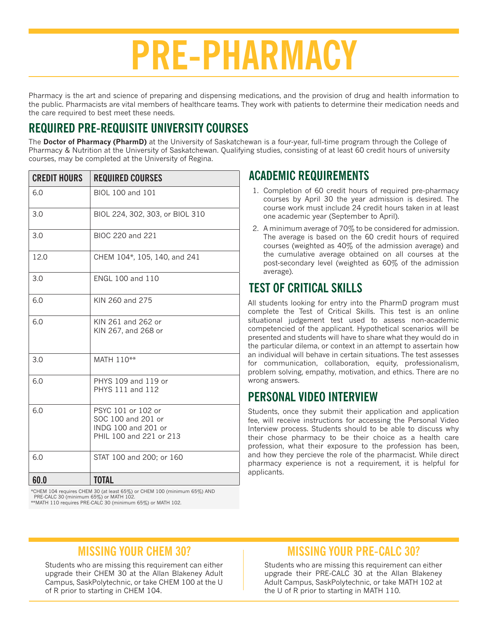# **PRE-PHARMACY**

Pharmacy is the art and science of preparing and dispensing medications, and the provision of drug and health information to the public. Pharmacists are vital members of healthcare teams. They work with patients to determine their medication needs and the care required to best meet these needs.

## **REQUIRED PRE-REQUISITE UNIVERSITY COURSES**

The **Doctor of Pharmacy (PharmD)** at the University of Saskatchewan is a four-year, full-time program through the College of Pharmacy & Nutrition at the University of Saskatchewan. Qualifying studies, consisting of at least 60 credit hours of university courses, may be completed at the University of Regina.

| <b>CREDIT HOURS</b> | <b>REQUIRED COURSES</b>                                                                    |
|---------------------|--------------------------------------------------------------------------------------------|
| 6.0                 | BIOL 100 and 101                                                                           |
| 3.0                 | BIOL 224, 302, 303, or BIOL 310                                                            |
| 3.0                 | BIOC 220 and 221                                                                           |
| 12.0                | CHEM 104*, 105, 140, and 241                                                               |
| 3.0                 | ENGL 100 and 110                                                                           |
| 6.0                 | KIN 260 and 275                                                                            |
| 6.0                 | KIN 261 and 262 or<br>KIN 267, and 268 or                                                  |
| 3.0                 | MATH 110**                                                                                 |
| 6.0                 | PHYS 109 and 119 or<br>PHYS 111 and 112                                                    |
| 6.0                 | PSYC 101 or 102 or<br>SOC 100 and 201 or<br>INDG 100 and 201 or<br>PHIL 100 and 221 or 213 |
| 6.0                 | STAT 100 and 200; or 160                                                                   |
| 60.0                | <b>TOTAL</b>                                                                               |

#### **ACADEMIC REQUIREMENTS**

- 1. Completion of 60 credit hours of required pre-pharmacy courses by April 30 the year admission is desired. The course work must include 24 credit hours taken in at least one academic year (September to April).
- 2. A minimum average of 70% to be considered for admission. The average is based on the 60 credit hours of required courses (weighted as 40% of the admission average) and the cumulative average obtained on all courses at the post-secondary level (weighted as 60% of the admission average).

## **TEST OF CRITICAL SKILLS**

All students looking for entry into the PharmD program must complete the Test of Critical Skills. This test is an online situational judgement test used to assess non-academic competencied of the applicant. Hypothetical scenarios will be presented and students will have to share what they would do in the particular dilema, or context in an attempt to assertain how an individual will behave in certain situations. The test assesses for communication, collaboration, equity, professionalism, problem solving, empathy, motivation, and ethics. There are no wrong answers.

#### **PERSONAL VIDEO INTERVIEW**

Students, once they submit their application and application fee, will receive instructions for accessing the Personal Video Interview process. Students should to be able to discuss why their chose pharmacy to be their choice as a health care profession, what their exposure to the profession has been, and how they percieve the role of the pharmacist. While direct pharmacy experience is not a requirement, it is helpful for applicants.

\*CHEM 104 requires CHEM 30 (at least 65%) or CHEM 100 (minimum 65%) AND PRE-CALC 30 (minimum 65%) or MATH 102. \*\*MATH 110 requires PRE-CALC 30 (minimum 65%) or MATH 102.

### **MISSING YOUR CHEM 30?**

Students who are missing this requirement can either upgrade their CHEM 30 at the Allan Blakeney Adult Campus, SaskPolytechnic, or take CHEM 100 at the U of R prior to starting in CHEM 104.

#### **MISSING YOUR PRE-CALC 30?**

Students who are missing this requirement can either upgrade their PRE-CALC 30 at the Allan Blakeney Adult Campus, SaskPolytechnic, or take MATH 102 at the U of R prior to starting in MATH 110.